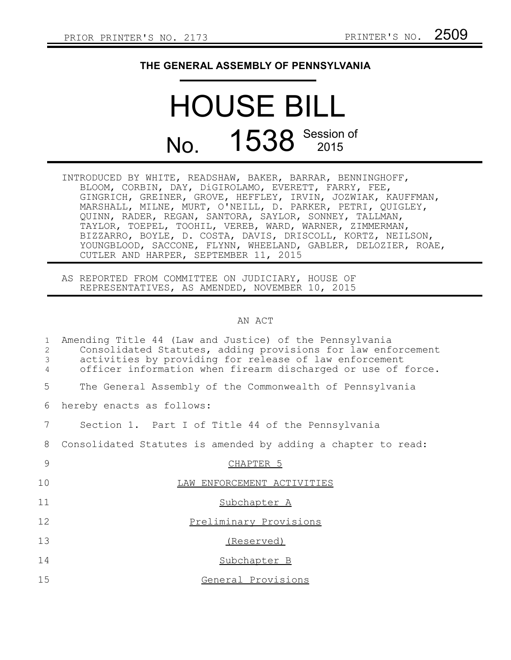## **THE GENERAL ASSEMBLY OF PENNSYLVANIA**

## HOUSE BILL No. 1538 Session of

INTRODUCED BY WHITE, READSHAW, BAKER, BARRAR, BENNINGHOFF, BLOOM, CORBIN, DAY, DiGIROLAMO, EVERETT, FARRY, FEE, GINGRICH, GREINER, GROVE, HEFFLEY, IRVIN, JOZWIAK, KAUFFMAN, MARSHALL, MILNE, MURT, O'NEILL, D. PARKER, PETRI, QUIGLEY, QUINN, RADER, REGAN, SANTORA, SAYLOR, SONNEY, TALLMAN, TAYLOR, TOEPEL, TOOHIL, VEREB, WARD, WARNER, ZIMMERMAN, BIZZARRO, BOYLE, D. COSTA, DAVIS, DRISCOLL, KORTZ, NEILSON, YOUNGBLOOD, SACCONE, FLYNN, WHEELAND, GABLER, DELOZIER, ROAE, CUTLER AND HARPER, SEPTEMBER 11, 2015

AS REPORTED FROM COMMITTEE ON JUDICIARY, HOUSE OF REPRESENTATIVES, AS AMENDED, NOVEMBER 10, 2015

## AN ACT

| Amending Title 44 (Law and Justice) of the Pennsylvania<br>Consolidated Statutes, adding provisions for law enforcement<br>activities by providing for release of law enforcement<br>officer information when firearm discharged or use of force. |
|---------------------------------------------------------------------------------------------------------------------------------------------------------------------------------------------------------------------------------------------------|
| The General Assembly of the Commonwealth of Pennsylvania                                                                                                                                                                                          |
| hereby enacts as follows:                                                                                                                                                                                                                         |
| Section 1. Part I of Title 44 of the Pennsylvania                                                                                                                                                                                                 |
| Consolidated Statutes is amended by adding a chapter to read:                                                                                                                                                                                     |
| CHAPTER <sub>5</sub>                                                                                                                                                                                                                              |
| LAW ENFORCEMENT ACTIVITIES                                                                                                                                                                                                                        |
| Subchapter A                                                                                                                                                                                                                                      |
| Preliminary Provisions                                                                                                                                                                                                                            |
| (Reserved)                                                                                                                                                                                                                                        |
| Subchapter B                                                                                                                                                                                                                                      |
| General Provisions                                                                                                                                                                                                                                |
|                                                                                                                                                                                                                                                   |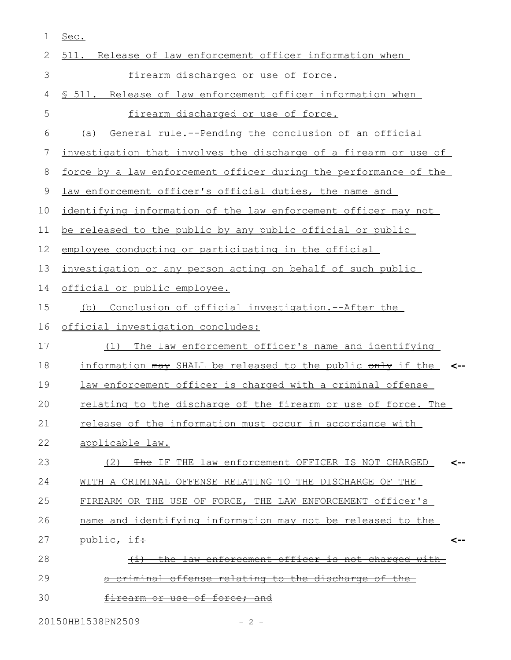| 1  | Sec.                                                             |
|----|------------------------------------------------------------------|
| 2  | 511. Release of law enforcement officer information when         |
| 3  | firearm discharged or use of force.                              |
| 4  | \$ 511. Release of law enforcement officer information when      |
| 5  | firearm discharged or use of force.                              |
| 6  | General rule.--Pending the conclusion of an official<br>(a)      |
| 7  | investigation that involves the discharge of a firearm or use of |
| 8  | force by a law enforcement officer during the performance of the |
| 9  | law enforcement officer's official duties, the name and          |
| 10 | identifying information of the law enforcement officer may not   |
| 11 | be released to the public by any public official or public       |
| 12 | employee conducting or participating in the official             |
| 13 | investigation or any person acting on behalf of such public      |
| 14 | official or public employee.                                     |
| 15 | Conclusion of official investigation.--After the<br>(b)          |
| 16 | official investigation concludes:                                |
| 17 | The law enforcement officer's name and identifying<br>(1)        |
| 18 | information may SHALL be released to the public only if the <-   |
| 19 | law enforcement officer is charged with a criminal offense       |
|    |                                                                  |
| 20 | relating to the discharge of the firearm or use of force. The    |
| 21 | release of the information must occur in accordance with         |
| 22 | applicable law.                                                  |
| 23 | (2) The IF THE law enforcement OFFICER IS NOT CHARGED<br><--     |
| 24 | WITH A CRIMINAL OFFENSE RELATING TO THE DISCHARGE OF THE         |
| 25 | FIREARM OR THE USE OF FORCE, THE LAW ENFORCEMENT officer's       |
| 26 | name and identifying information may not be released to the      |
| 27 | public, ift<br><--                                               |
| 28 | <u>the law enforcement officer is not charged with-</u>          |
| 29 | offense relating to the discharge of the-<br><del>criminal</del> |